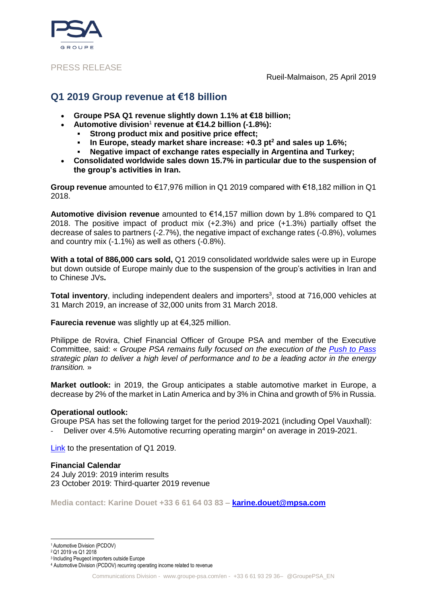

## PRESS RELEASE

Rueil-Malmaison, 25 April 2019

# **Q1 2019 Group revenue at €18 billion**

- **Groupe PSA Q1 revenue slightly down 1.1% at €18 billion;**
- **Automotive division**<sup>1</sup> **revenue at €14.2 billion (-1.8%):**
	- **Strong product mix and positive price effect;**
		- **In Europe, steady market share increase: +0.3 pt<sup>2</sup> and sales up 1.6%;**
	- **Negative impact of exchange rates especially in Argentina and Turkey;**
- **Consolidated worldwide sales down 15.7% in particular due to the suspension of the group's activities in Iran.**

**Group revenue** amounted to €17,976 million in Q1 2019 compared with €18,182 million in Q1 2018.

**Automotive division revenue** amounted to €14,157 million down by 1.8% compared to Q1 2018. The positive impact of product mix (+2.3%) and price (+1.3%) partially offset the decrease of sales to partners (-2.7%), the negative impact of exchange rates (-0.8%), volumes and country mix (-1.1%) as well as others (-0.8%).

**With a total of 886,000 cars sold,** Q1 2019 consolidated worldwide sales were up in Europe but down outside of Europe mainly due to the suspension of the group's activities in Iran and to Chinese JVs**.**

Total inventory, including independent dealers and importers<sup>3</sup>, stood at 716,000 vehicles at 31 March 2019, an increase of 32,000 units from 31 March 2018.

**Faurecia revenue** was slightly up at €4,325 million.

Philippe de Rovira, Chief Financial Officer of Groupe PSA and member of the Executive Committee, said: « *Groupe PSA remains fully focused on the execution of the [Push to Pass](https://www.groupe-psa.com/en/automotive-group/strategy/) strategic plan to deliver a high level of performance and to be a leading actor in the energy transition.* »

**Market outlook:** in 2019, the Group anticipates a stable automotive market in Europe, a decrease by 2% of the market in Latin America and by 3% in China and growth of 5% in Russia.

## **Operational outlook:**

Groupe PSA has set the following target for the period 2019-2021 (including Opel Vauxhall): Deliver over 4.5% Automotive recurring operating margin<sup>4</sup> on average in 2019-2021.

[Link](https://www.groupe-psa.com/en/finance/publications/) to the presentation of Q1 2019.

### **Financial Calendar**

24 July 2019: 2019 interim results 23 October 2019: Third-quarter 2019 revenue

**Media contact: Karine Douet +33 6 61 64 03 83 – [karine.douet@mpsa.com](mailto:karine.douet@mpsa.com)**

<sup>&</sup>lt;u>.</u> <sup>1</sup> Automotive Division (PCDOV)

<sup>2</sup>Q1 2019 vs Q1 2018

<sup>3</sup> Including Peugeot importers outside Europe

<sup>4</sup> Automotive Division (PCDOV) recurring operating income related to revenue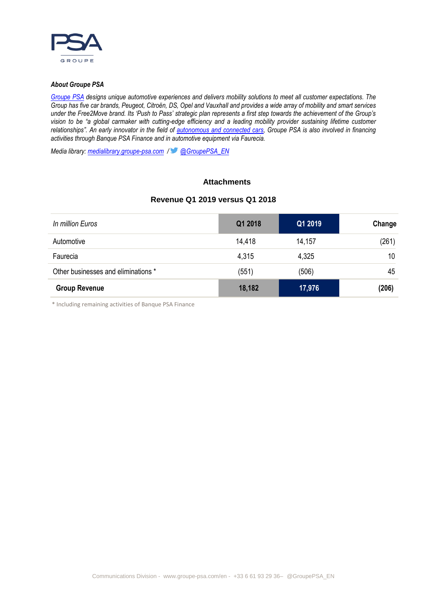

#### *About Groupe PSA*

*[Groupe PSA](https://www.groupe-psa.com/fr) designs unique automotive experiences and delivers mobility solutions to meet all customer expectations. The Group has five car brands, Peugeot, Citroën, DS, Opel and Vauxhall and provides a wide array of mobility and smart services under the Free2Move brand. Its 'Push to Pass' strategic plan represents a first step towards the achievement of the Group's vision to be "a global carmaker with cutting-edge efficiency and a leading mobility provider sustaining lifetime customer relationships". An early innovator in the field of [autonomous and connected cars,](https://www.groupe-psa.com/en/story/en-route-vers-la-voiture-autonome/) Groupe PSA is also involved in financing activities through Banque PSA Finance and in automotive equipment via Faurecia.*

*Media library: [medialibrary.groupe-psa.com](http://medialibrary.groupe-psa.com/) / [@GroupePSA\\_EN](https://twitter.com/GroupePSA_EN)*

#### **Attachments**

## **Revenue Q1 2019 versus Q1 2018**

| In million Euros                    | Q1 2018 | Q1 2019 | Change |
|-------------------------------------|---------|---------|--------|
| Automotive                          | 14,418  | 14,157  | (261)  |
| Faurecia                            | 4,315   | 4,325   | 10     |
| Other businesses and eliminations * | (551)   | (506)   | 45     |
| <b>Group Revenue</b>                | 18,182  | 17,976  | (206)  |

\* Including remaining activities of Banque PSA Finance